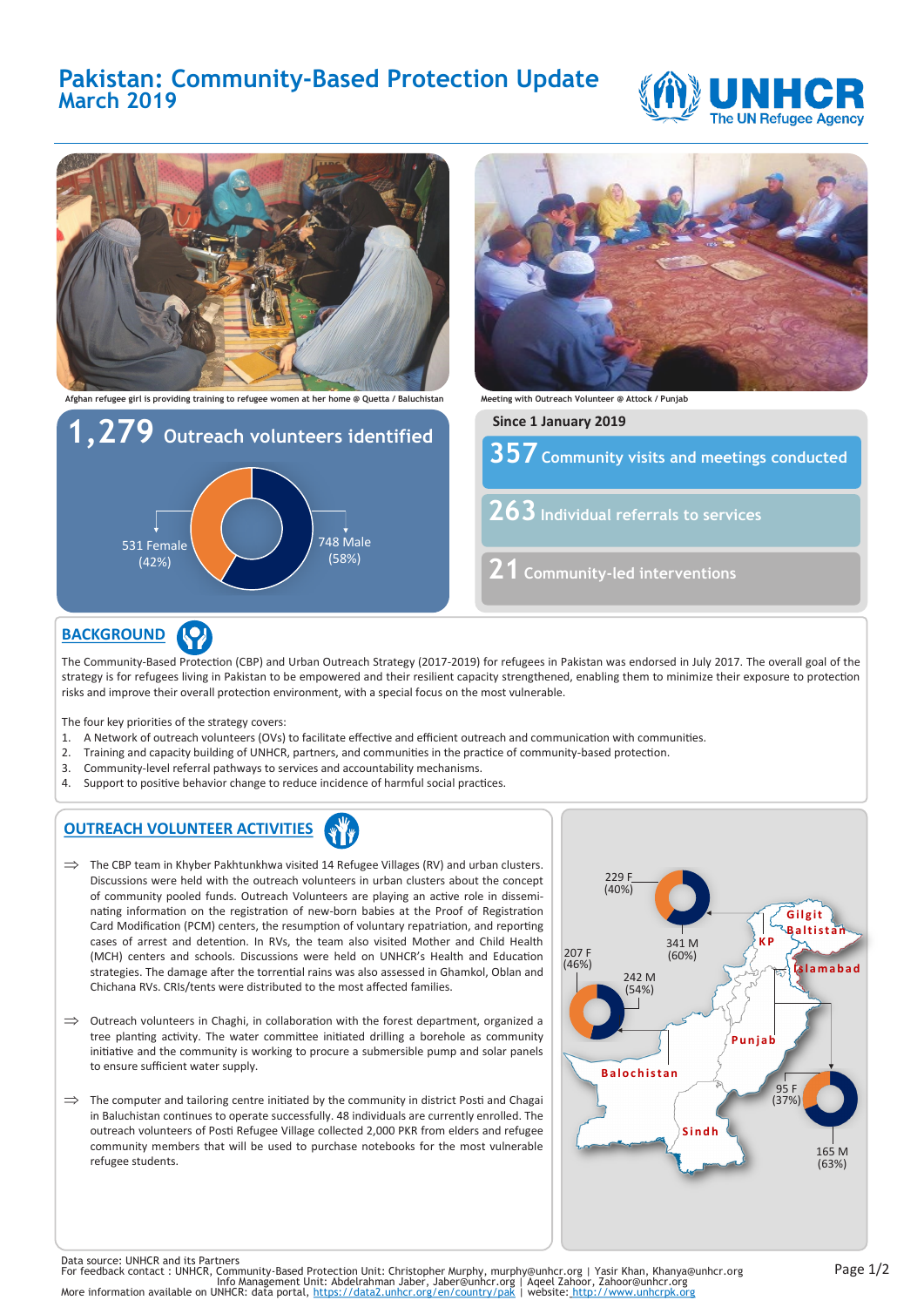# **Pakistan: Community-Based Protection Update March 2019**





## **BACKGROUND**

The Community-Based Protection (CBP) and Urban Outreach Strategy (2017-2019) for refugees in Pakistan was endorsed in July 2017. The overall goal of the strategy is for refugees living in Pakistan to be empowered and their resilient capacity strengthened, enabling them to minimize their exposure to protection risks and improve their overall protection environment, with a special focus on the most vulnerable.

The four key priorities of the strategy covers:

- 1. A Network of outreach volunteers (OVs) to facilitate effective and efficient outreach and communication with communities.
- 2. Training and capacity building of UNHCR, partners, and communities in the practice of community-based protection.
- 3. Community-level referral pathways to services and accountability mechanisms.
- 4. Support to positive behavior change to reduce incidence of harmful social practices.

#### **OUTREACH VOLUNTEER ACTIVITIES**

- $\implies$  The CBP team in Khyber Pakhtunkhwa visited 14 Refugee Villages (RV) and urban clusters. Discussions were held with the outreach volunteers in urban clusters about the concept of community pooled funds. Outreach Volunteers are playing an active role in disseminating information on the registration of new-born babies at the Proof of Registration Card Modification (PCM) centers, the resumption of voluntary repatriation, and reporting cases of arrest and detention. In RVs, the team also visited Mother and Child Health (MCH) centers and schools. Discussions were held on UNHCR's Health and Education strategies. The damage after the torrential rains was also assessed in Ghamkol, Oblan and Chichana RVs. CRIs/tents were distributed to the most affected families.
- $\implies$  Outreach volunteers in Chaghi, in collaboration with the forest department, organized a tree planting activity. The water committee initiated drilling a borehole as community initiative and the community is working to procure a submersible pump and solar panels to ensure sufficient water supply.
- $\Rightarrow$  The computer and tailoring centre initiated by the community in district Posti and Chagai in Baluchistan continues to operate successfully. 48 individuals are currently enrolled. The outreach volunteers of Posti Refugee Village collected 2,000 PKR from elders and refugee community members that will be used to purchase notebooks for the most vulnerable refugee students.



Data source: UNHCR and its Partners<br>For feedback contact : UNHCR, Community-Based Protection Unit: Christopher Murphy, murphy@unhcr.org | Yasir Khan, Khanya@unhcr.org<br>For feedback contact : UNHCR, ommunity-Based Protectio